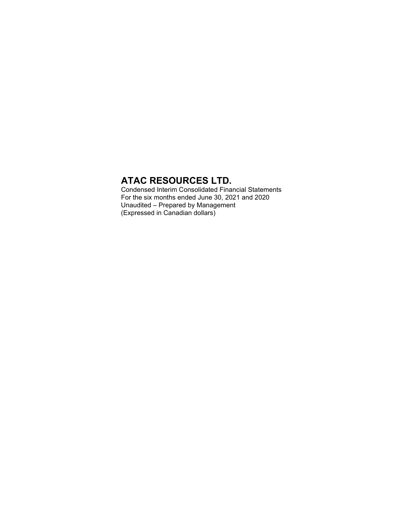Condensed Interim Consolidated Financial Statements For the six months ended June 30, 2021 and 2020 Unaudited – Prepared by Management (Expressed in Canadian dollars)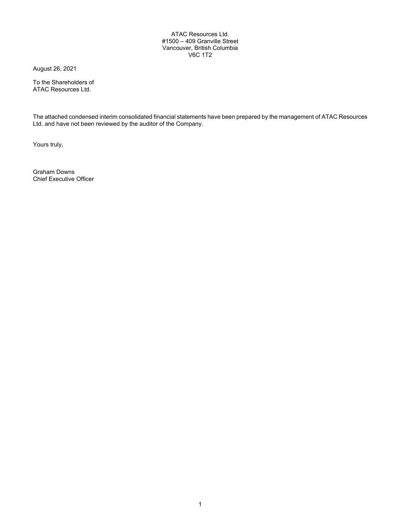#### ATAC Resources Ltd. #1500 – 409 Granville Street Vancouver, British Columbia V6C 1T2

August 26, 2021

To the Shareholders of ATAC Resources Ltd.

The attached condensed interim consolidated financial statements have been prepared by the management of ATAC Resources Ltd. and have not been reviewed by the auditor of the Company.

Yours truly,

Graham Downs Chief Executive Officer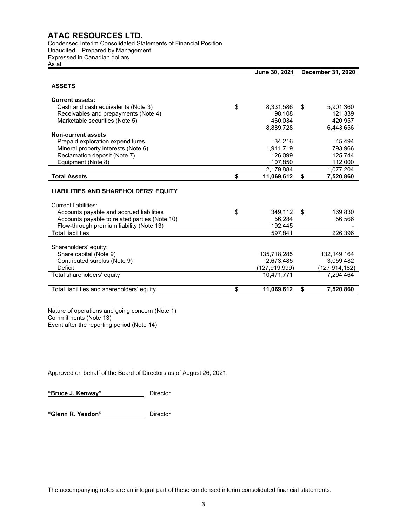Condensed Interim Consolidated Statements of Financial Position Unaudited – Prepared by Management Expressed in Canadian dollars As at

|                                               | June 30, 2021    | <b>December 31, 2020</b> |               |  |  |
|-----------------------------------------------|------------------|--------------------------|---------------|--|--|
| <b>ASSETS</b>                                 |                  |                          |               |  |  |
| <b>Current assets:</b>                        |                  |                          |               |  |  |
| Cash and cash equivalents (Note 3)            | \$<br>8,331,586  | \$                       | 5,901,360     |  |  |
| Receivables and prepayments (Note 4)          | 98,108           |                          | 121,339       |  |  |
| Marketable securities (Note 5)                | 460,034          |                          | 420,957       |  |  |
|                                               | 8,889,728        |                          | 6,443,656     |  |  |
| <b>Non-current assets</b>                     |                  |                          |               |  |  |
| Prepaid exploration expenditures              | 34,216           |                          | 45,494        |  |  |
| Mineral property interests (Note 6)           | 1,911,719        |                          | 793,966       |  |  |
| Reclamation deposit (Note 7)                  | 126,099          |                          | 125,744       |  |  |
| Equipment (Note 8)                            | 107,850          |                          | 112,000       |  |  |
|                                               | 2,179,884        |                          | 1,077,204     |  |  |
| <b>Total Assets</b>                           | \$<br>11,069,612 | \$                       | 7,520,860     |  |  |
| <b>LIABILITIES AND SHAREHOLDERS' EQUITY</b>   |                  |                          |               |  |  |
| Current liabilities:                          |                  |                          |               |  |  |
| Accounts payable and accrued liabilities      | \$<br>349,112    | \$                       | 169,830       |  |  |
| Accounts payable to related parties (Note 10) | 56,284           |                          | 56,566        |  |  |
| Flow-through premium liability (Note 13)      | 192.445          |                          |               |  |  |
| <b>Total liabilities</b>                      | 597.841          |                          | 226,396       |  |  |
| Shareholders' equity:                         |                  |                          |               |  |  |
| Share capital (Note 9)                        | 135,718,285      |                          | 132,149,164   |  |  |
| Contributed surplus (Note 9)                  | 2,673,485        |                          | 3,059,482     |  |  |
| Deficit                                       | (127,919,999)    |                          | (127,914,182) |  |  |
| Total shareholders' equity                    | 10.471.771       |                          | 7.294.464     |  |  |
| Total liabilities and shareholders' equity    | \$<br>11.069.612 | \$                       | 7,520,860     |  |  |

Nature of operations and going concern (Note 1) Commitments (Note 13) Event after the reporting period (Note 14)

Approved on behalf of the Board of Directors as of August 26, 2021:

**"Bruce J. Kenway"** Director

**"Glenn R. Yeadon"** Director

The accompanying notes are an integral part of these condensed interim consolidated financial statements.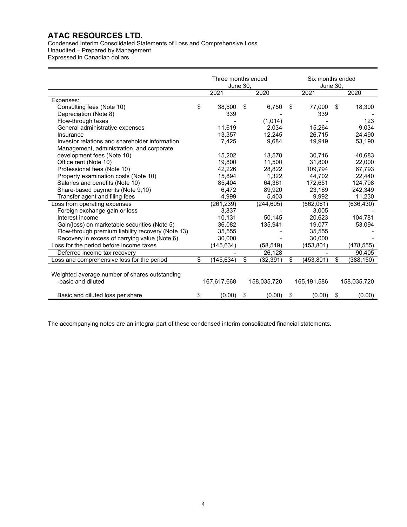Condensed Interim Consolidated Statements of Loss and Comprehensive Loss Unaudited – Prepared by Management Expressed in Canadian dollars

|                                                                     | Three months ended<br>June 30, |    |             |    |             | Six months ended<br>June 30, |             |  |
|---------------------------------------------------------------------|--------------------------------|----|-------------|----|-------------|------------------------------|-------------|--|
|                                                                     | 2021                           |    | 2020        |    | 2021        |                              | 2020        |  |
| Expenses:                                                           |                                |    |             |    |             |                              |             |  |
| Consulting fees (Note 10)                                           | \$<br>38.500                   | S  | 6,750       | S  | 77,000      | \$                           | 18,300      |  |
| Depreciation (Note 8)                                               | 339                            |    |             |    | 339         |                              |             |  |
| Flow-through taxes                                                  |                                |    | (1,014)     |    |             |                              | 123         |  |
| General administrative expenses                                     | 11.619                         |    | 2,034       |    | 15,264      |                              | 9.034       |  |
| Insurance                                                           | 13,357                         |    | 12,245      |    | 26,715      |                              | 24,490      |  |
| Investor relations and shareholder information                      | 7,425                          |    | 9.684       |    | 19,919      |                              | 53,190      |  |
| Management, administration, and corporate                           |                                |    |             |    |             |                              |             |  |
| development fees (Note 10)                                          | 15,202                         |    | 13,578      |    | 30,716      |                              | 40,683      |  |
| Office rent (Note 10)                                               | 19.800                         |    | 11,500      |    | 31,800      |                              | 22,000      |  |
| Professional fees (Note 10)                                         | 42,226                         |    | 28,822      |    | 109,794     |                              | 67,793      |  |
| Property examination costs (Note 10)                                | 15,894                         |    | 1.322       |    | 44.702      |                              | 22.440      |  |
| Salaries and benefits (Note 10)                                     | 85,404                         |    | 64,361      |    | 172,651     |                              | 124,798     |  |
| Share-based payments (Note 9,10)                                    | 6,472                          |    | 89,920      |    | 23,169      |                              | 242,349     |  |
| Transfer agent and filing fees                                      | 4,999                          |    | 5,403       |    | 9,992       |                              | 11,230      |  |
| Loss from operating expenses                                        | (261, 239)                     |    | (244, 605)  |    | (562,061)   |                              | (636, 430)  |  |
| Foreign exchange gain or loss                                       | 3,837                          |    |             |    | 3,005       |                              |             |  |
| Interest income                                                     | 10,131                         |    | 50,145      |    | 20,623      |                              | 104,781     |  |
| Gain(loss) on marketable securities (Note 5)                        | 36,082                         |    | 135,941     |    | 19,077      |                              | 53,094      |  |
| Flow-through premium liability recovery (Note 13)                   | 35,555                         |    |             |    | 35,555      |                              |             |  |
| Recovery in excess of carrying value (Note 6)                       | 30,000                         |    |             |    | 30,000      |                              |             |  |
| Loss for the period before income taxes                             | (145,634)                      |    | (58, 519)   |    | (453, 801)  |                              | (478,555)   |  |
| Deferred income tax recovery                                        |                                |    | 26,128      |    |             |                              | 90,405      |  |
| Loss and comprehensive loss for the period                          | \$<br>(145, 634)               | \$ | (32, 391)   | \$ | (453, 801)  | \$                           | (388, 150)  |  |
| Weighted average number of shares outstanding<br>-basic and diluted | 167,617,668                    |    | 158,035,720 |    | 165,191,586 |                              | 158,035,720 |  |
| Basic and diluted loss per share                                    | \$<br>(0.00)                   | \$ | (0.00)      | \$ | (0.00)      | \$                           | (0.00)      |  |

The accompanying notes are an integral part of these condensed interim consolidated financial statements.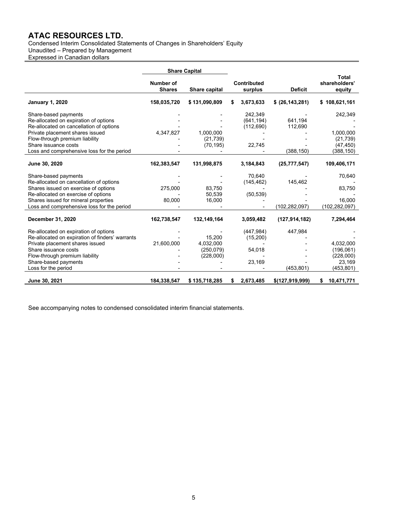Condensed Interim Consolidated Statements of Changes in Shareholders' Equity

Unaudited – Prepared by Management

Expressed in Canadian dollars

|                                                                                                          | Number of<br><b>Shares</b> | Share capital                       | Contributed<br>surplus              | <b>Deficit</b>     | Total<br>shareholders'<br>equity    |
|----------------------------------------------------------------------------------------------------------|----------------------------|-------------------------------------|-------------------------------------|--------------------|-------------------------------------|
| <b>January 1, 2020</b>                                                                                   | 158,035,720                | \$131,090,809                       | \$<br>3,673,633                     | \$ (26, 143, 281)  | \$108,621,161                       |
| Share-based payments<br>Re-allocated on expiration of options<br>Re-allocated on cancellation of options |                            |                                     | 242,349<br>(641, 194)<br>(112, 690) | 641.194<br>112,690 | 242,349                             |
| Private placement shares issued<br>Flow-through premium liability<br>Share issuance costs                | 4,347,827                  | 1,000,000<br>(21, 739)<br>(70, 195) | 22,745                              |                    | 1,000,000<br>(21, 739)<br>(47, 450) |
| Loss and comprehensive loss for the period                                                               |                            |                                     |                                     | (388, 150)         | (388,150)                           |
| June 30, 2020                                                                                            | 162,383,547                | 131,998,875                         | 3,184,843                           | (25, 777, 547)     | 109,406,171                         |
| Share-based payments<br>Re-allocated on cancellation of options                                          |                            |                                     | 70,640<br>(145, 462)                | 145,462            | 70,640                              |
| Shares issued on exercise of options<br>Re-allocated on exercise of options                              | 275,000                    | 83.750<br>50,539                    | (50, 539)                           |                    | 83,750                              |
| Shares issued for mineral properties<br>Loss and comprehensive loss for the period                       | 80,000                     | 16,000                              |                                     | (102, 282, 097)    | 16,000<br>(102, 282, 097)           |
| December 31, 2020                                                                                        | 162,738,547                | 132,149,164                         | 3,059,482                           | (127, 914, 182)    | 7,294,464                           |
| Re-allocated on expiration of options<br>Re-allocated on expiration of finders' warrants                 |                            | 15,200                              | (447, 984)<br>(15,200)              | 447,984            |                                     |
| Private placement shares issued<br>Share issuance costs                                                  | 21,600,000                 | 4,032,000<br>(250, 079)             | 54,018                              |                    | 4,032,000<br>(196, 061)             |
| Flow-through premium liability<br>Share-based payments<br>Loss for the period                            |                            | (228,000)                           | 23,169                              | (453, 801)         | (228,000)<br>23,169<br>(453, 801)   |
| June 30, 2021                                                                                            | 184,338,547                | \$135,718,285                       | \$<br>2,673,485                     | \$(127,919,999)    | 10,471,771<br>\$                    |

See accompanying notes to condensed consolidated interim financial statements.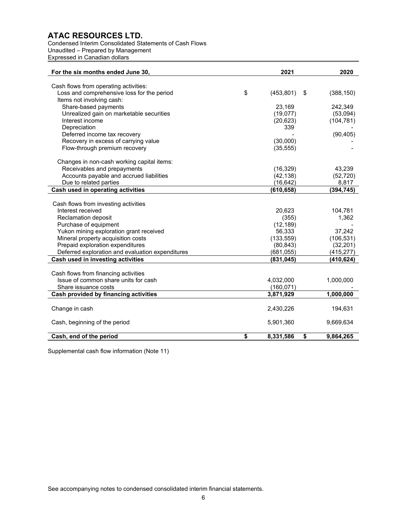Condensed Interim Consolidated Statements of Cash Flows Unaudited – Prepared by Management Expressed in Canadian dollars

| For the six months ended June 30,                                                   | 2021             | 2020             |
|-------------------------------------------------------------------------------------|------------------|------------------|
|                                                                                     |                  |                  |
| Cash flows from operating activities:<br>Loss and comprehensive loss for the period | \$               |                  |
|                                                                                     | (453, 801)       | \$<br>(388, 150) |
| Items not involving cash:<br>Share-based payments                                   | 23,169           | 242,349          |
|                                                                                     |                  |                  |
| Unrealized gain on marketable securities<br>Interest income                         | (19,077)         | (53,094)         |
|                                                                                     | (20, 623)<br>339 | (104, 781)       |
| Depreciation                                                                        |                  |                  |
| Deferred income tax recovery                                                        |                  | (90, 405)        |
| Recovery in excess of carrying value                                                | (30,000)         |                  |
| Flow-through premium recovery                                                       | (35, 555)        |                  |
| Changes in non-cash working capital items:                                          |                  |                  |
| Receivables and prepayments                                                         | (16, 329)        | 43,239           |
| Accounts payable and accrued liabilities                                            | (42, 138)        | (52, 720)        |
| Due to related parties                                                              | (16, 642)        | 8,817            |
| Cash used in operating activities                                                   | (610, 658)       | (394, 745)       |
|                                                                                     |                  |                  |
| Cash flows from investing activities                                                |                  |                  |
| Interest received                                                                   | 20,623           | 104,781          |
| Reclamation deposit                                                                 | (355)            | 1,362            |
| Purchase of equipment                                                               | (12, 189)        |                  |
| Yukon mining exploration grant received                                             | 56,333           | 37,242           |
| Mineral property acquisition costs                                                  | (133, 559)       | (106, 531)       |
| Prepaid exploration expenditures                                                    | (80, 843)        | (32, 201)        |
| Deferred exploration and evaluation expenditures                                    | (681, 055)       | (415, 277)       |
| Cash used in investing activities                                                   | (831, 045)       | (410, 624)       |
|                                                                                     |                  |                  |
| Cash flows from financing activities                                                |                  |                  |
| Issue of common share units for cash                                                | 4,032,000        | 1,000,000        |
| Share issuance costs                                                                | (160, 071)       |                  |
| Cash provided by financing activities                                               | 3,871,929        | 1,000,000        |
|                                                                                     |                  |                  |
| Change in cash                                                                      | 2,430,226        | 194,631          |
| Cash, beginning of the period                                                       | 5,901,360        | 9,669,634        |
| Cash, end of the period                                                             | \$<br>8,331,586  | \$<br>9,864,265  |
|                                                                                     |                  |                  |

Supplemental cash flow information (Note 11)

See accompanying notes to condensed consolidated interim financial statements.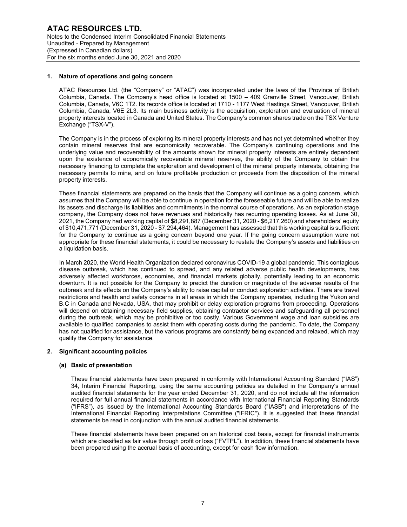#### **1. Nature of operations and going concern**

ATAC Resources Ltd. (the "Company" or "ATAC") was incorporated under the laws of the Province of British Columbia, Canada. The Company's head office is located at 1500 – 409 Granville Street, Vancouver, British Columbia, Canada, V6C 1T2. Its records office is located at 1710 - 1177 West Hastings Street, Vancouver, British Columbia, Canada, V6E 2L3. Its main business activity is the acquisition, exploration and evaluation of mineral property interests located in Canada and United States. The Company's common shares trade on the TSX Venture Exchange ("TSX-V").

The Company is in the process of exploring its mineral property interests and has not yet determined whether they contain mineral reserves that are economically recoverable. The Company's continuing operations and the underlying value and recoverability of the amounts shown for mineral property interests are entirely dependent upon the existence of economically recoverable mineral reserves, the ability of the Company to obtain the necessary financing to complete the exploration and development of the mineral property interests, obtaining the necessary permits to mine, and on future profitable production or proceeds from the disposition of the mineral property interests.

These financial statements are prepared on the basis that the Company will continue as a going concern, which assumes that the Company will be able to continue in operation for the foreseeable future and will be able to realize its assets and discharge its liabilities and commitments in the normal course of operations. As an exploration stage company, the Company does not have revenues and historically has recurring operating losses. As at June 30, 2021, the Company had working capital of \$8,291,887 (December 31, 2020 - \$6,217,260) and shareholders' equity of \$10,471,771 (December 31, 2020 - \$7,294,464). Management has assessed that this working capital is sufficient for the Company to continue as a going concern beyond one year. If the going concern assumption were not appropriate for these financial statements, it could be necessary to restate the Company's assets and liabilities on a liquidation basis.

In March 2020, the World Health Organization declared coronavirus COVID-19 a global pandemic. This contagious disease outbreak, which has continued to spread, and any related adverse public health developments, has adversely affected workforces, economies, and financial markets globally, potentially leading to an economic downturn. It is not possible for the Company to predict the duration or magnitude of the adverse results of the outbreak and its effects on the Company's ability to raise capital or conduct exploration activities. There are travel restrictions and health and safety concerns in all areas in which the Company operates, including the Yukon and B.C in Canada and Nevada, USA, that may prohibit or delay exploration programs from proceeding. Operations will depend on obtaining necessary field supplies, obtaining contractor services and safeguarding all personnel during the outbreak, which may be prohibitive or too costly. Various Government wage and loan subsidies are available to qualified companies to assist them with operating costs during the pandemic. To date, the Company has not qualified for assistance, but the various programs are constantly being expanded and relaxed, which may qualify the Company for assistance.

#### **2. Significant accounting policies**

#### **(a) Basic of presentation**

These financial statements have been prepared in conformity with International Accounting Standard ("IAS") 34, Interim Financial Reporting, using the same accounting policies as detailed in the Company's annual audited financial statements for the year ended December 31, 2020, and do not include all the information required for full annual financial statements in accordance with International Financial Reporting Standards ("IFRS"), as issued by the International Accounting Standards Board ("IASB") and interpretations of the International Financial Reporting Interpretations Committee ("IFRIC"). It is suggested that these financial statements be read in conjunction with the annual audited financial statements.

These financial statements have been prepared on an historical cost basis, except for financial instruments which are classified as fair value through profit or loss ("FVTPL"). In addition, these financial statements have been prepared using the accrual basis of accounting, except for cash flow information.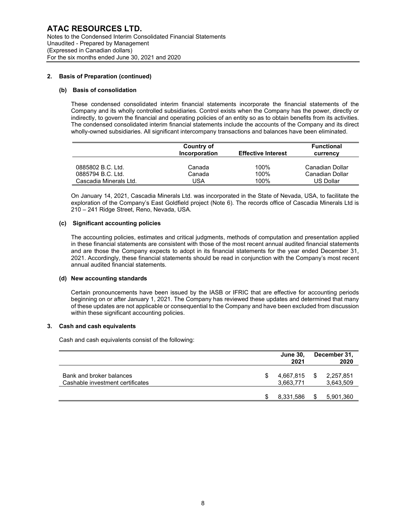#### **2. Basis of Preparation (continued)**

#### **(b) Basis of consolidation**

These condensed consolidated interim financial statements incorporate the financial statements of the Company and its wholly controlled subsidiaries. Control exists when the Company has the power, directly or indirectly, to govern the financial and operating policies of an entity so as to obtain benefits from its activities. The condensed consolidated interim financial statements include the accounts of the Company and its direct wholly-owned subsidiaries. All significant intercompany transactions and balances have been eliminated.

|                                             | Country of<br>Incorporation | <b>Effective Interest</b> | <b>Functional</b><br>currency |
|---------------------------------------------|-----------------------------|---------------------------|-------------------------------|
| 0885802 B.C. Ltd.                           | Canada                      | 100%                      | Canadian Dollar               |
| 0885794 B.C. Ltd.<br>Cascadia Minerals Ltd. | Canada<br>USA               | 100%<br>100%              | Canadian Dollar<br>US Dollar  |

On January 14, 2021, Cascadia Minerals Ltd. was incorporated in the State of Nevada, USA, to facilitate the exploration of the Company's East Goldfield project (Note 6). The records office of Cascadia Minerals Ltd is 210 – 241 Ridge Street, Reno, Nevada, USA.

#### **(c) Significant accounting policies**

The accounting policies, estimates and critical judgments, methods of computation and presentation applied in these financial statements are consistent with those of the most recent annual audited financial statements and are those the Company expects to adopt in its financial statements for the year ended December 31, 2021. Accordingly, these financial statements should be read in conjunction with the Company's most recent annual audited financial statements.

#### **(d) New accounting standards**

Certain pronouncements have been issued by the IASB or IFRIC that are effective for accounting periods beginning on or after January 1, 2021. The Company has reviewed these updates and determined that many of these updates are not applicable or consequential to the Company and have been excluded from discussion within these significant accounting policies.

#### **3. Cash and cash equivalents**

Cash and cash equivalents consist of the following:

|                                                              |   | <b>June 30,</b><br>2021 | December 31,<br>2020   |
|--------------------------------------------------------------|---|-------------------------|------------------------|
| Bank and broker balances<br>Cashable investment certificates | S | 4.667.815<br>3,663,771  | 2,257,851<br>3,643,509 |
|                                                              |   | 8,331,586               | \$<br>5,901,360        |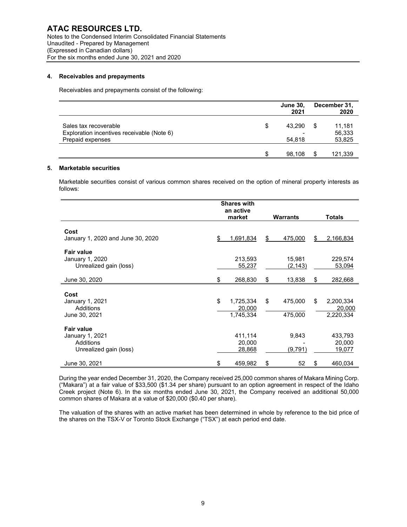#### **4. Receivables and prepayments**

Receivables and prepayments consist of the following:

|                                            | <b>June 30,</b><br>2021 |    | December 31,<br>2020 |
|--------------------------------------------|-------------------------|----|----------------------|
| Sales tax recoverable                      | \$<br>43,290            | \$ | 11,181               |
| Exploration incentives receivable (Note 6) |                         |    | 56,333               |
| Prepaid expenses                           | 54,818                  |    | 53,825               |
|                                            | 98.108                  | £. | 121,339              |

#### **5. Marketable securities**

Marketable securities consist of various common shares received on the option of mineral property interests as follows:

|                                                                             | <b>Shares with</b> |                                  |    |                         |    |                                  |  |  |
|-----------------------------------------------------------------------------|--------------------|----------------------------------|----|-------------------------|----|----------------------------------|--|--|
|                                                                             |                    | an active                        |    |                         |    |                                  |  |  |
|                                                                             |                    | market                           |    | Warrants                |    | <b>Totals</b>                    |  |  |
| Cost<br>January 1, 2020 and June 30, 2020                                   | \$                 | <u>1,691,834</u>                 | \$ | 475,000                 | \$ | 2,166,834                        |  |  |
| <b>Fair value</b><br>January 1, 2020<br>Unrealized gain (loss)              |                    | 213,593<br>55,237                |    | 15,981<br>(2, 143)      |    | 229,574<br>53,094                |  |  |
| June 30, 2020                                                               | \$                 | 268,830                          | \$ | 13,838                  | \$ | 282,668                          |  |  |
| Cost<br>January 1, 2021<br>Additions<br>June 30, 2021                       | \$                 | 1,725,334<br>20,000<br>1,745,334 | \$ | 475,000<br>475,000      | \$ | 2,200,334<br>20,000<br>2,220,334 |  |  |
| <b>Fair value</b><br>January 1, 2021<br>Additions<br>Unrealized gain (loss) |                    | 411,114<br>20,000<br>28,868      |    | 9,843<br><u>(9,791)</u> |    | 433,793<br>20,000<br>19,077      |  |  |
| June 30, 2021                                                               | \$                 | 459,982                          | \$ | 52                      | \$ | 460,034                          |  |  |

During the year ended December 31, 2020, the Company received 25,000 common shares of Makara Mining Corp. ("Makara") at a fair value of \$33,500 (\$1.34 per share) pursuant to an option agreement in respect of the Idaho Creek project (Note 6). In the six months ended June 30, 2021, the Company received an additional 50,000 common shares of Makara at a value of \$20,000 (\$0.40 per share).

The valuation of the shares with an active market has been determined in whole by reference to the bid price of the shares on the TSX-V or Toronto Stock Exchange ("TSX") at each period end date.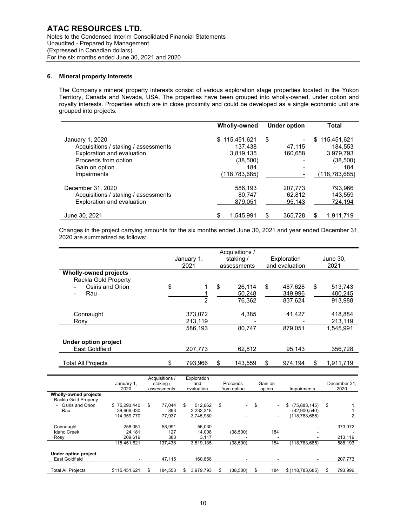#### **6. Mineral property interests**

The Company's mineral property interests consist of various exploration stage properties located in the Yukon Territory, Canada and Nevada, USA. The properties have been grouped into wholly-owned, under option and royalty interests. Properties which are in close proximity and could be developed as a single economic unit are grouped into projects.

|                                                                                                                                                | Wholly-owned                                                                 | <b>Under option</b>     | <b>Total</b>                                                                      |
|------------------------------------------------------------------------------------------------------------------------------------------------|------------------------------------------------------------------------------|-------------------------|-----------------------------------------------------------------------------------|
| January 1, 2020<br>Acquisitions / staking / assessments<br>Exploration and evaluation<br>Proceeds from option<br>Gain on option<br>Impairments | \$115,451,621<br>137.438<br>3,819,135<br>(38, 500)<br>184<br>(118, 783, 685) | \$<br>47.115<br>160,658 | 115,451,621<br>\$.<br>184.553<br>3,979,793<br>(38, 500)<br>184<br>(118, 783, 685) |
| December 31, 2020                                                                                                                              | 586,193                                                                      | 207.773                 | 793,966                                                                           |
| Acquisitions / staking / assessments                                                                                                           | 80.747                                                                       | 62,812                  | 143,559                                                                           |
| Exploration and evaluation                                                                                                                     | 879,051                                                                      | 95,143                  | 724,194                                                                           |
| June 30, 2021                                                                                                                                  | \$                                                                           | \$                      | \$                                                                                |
|                                                                                                                                                | 1,545,991                                                                    | 365,728                 | 1,911,719                                                                         |

Changes in the project carrying amounts for the six months ended June 30, 2021 and year ended December 31, 2020 are summarized as follows:

|                                 | January 1,     | staking /     | Exploration    | June 30.        |
|---------------------------------|----------------|---------------|----------------|-----------------|
|                                 | 2021           | assessments   | and evaluation | 2021            |
| <b>Wholly-owned projects</b>    |                |               |                |                 |
| Rackla Gold Property            |                |               |                |                 |
| Osiris and Orion                | \$             | \$<br>26.114  | \$<br>487.628  | \$<br>513,743   |
| Rau<br>$\overline{\phantom{0}}$ |                | 50,248        | 349,996        | 400,245         |
|                                 | $\overline{2}$ | 76,362        | 837,624        | 913.988         |
|                                 |                |               |                |                 |
| Connaught                       | 373,072        | 4,385         | 41,427         | 418.884         |
| Rosy                            | 213,119        |               |                | 213,119         |
|                                 | 586,193        | 80,747        | 879,051        | 1.545.991       |
|                                 |                |               |                |                 |
| Under option project            |                |               |                |                 |
| East Goldfield                  | 207.773        | 62.812        | 95.143         | 356.728         |
|                                 |                |               |                |                 |
| Total All Projects              | \$<br>793,966  | \$<br>143,559 | \$<br>974.194  | \$<br>1,911,719 |

|                                                      | January 1,<br>2020                        | Acquisitions /<br>staking /<br>assessments |    | Exploration<br>and<br>evaluation  |    |                          |                                        |                                                       |                    |  |  |  |  |  |  | Proceeds<br>from option | Gain on<br>option | Impairments | December 31.<br>2020 |
|------------------------------------------------------|-------------------------------------------|--------------------------------------------|----|-----------------------------------|----|--------------------------|----------------------------------------|-------------------------------------------------------|--------------------|--|--|--|--|--|--|-------------------------|-------------------|-------------|----------------------|
| <b>Wholly-owned projects</b><br>Rackla Gold Property |                                           |                                            |    |                                   |    |                          |                                        |                                                       |                    |  |  |  |  |  |  |                         |                   |             |                      |
| Osiris and Orion<br>- Rau                            | \$75,293,440<br>39,666,330<br>114,959,770 | \$<br>77.044<br>893<br>77,937              | \$ | 512.662<br>3,233,318<br>3,745,980 | \$ | $\overline{\phantom{0}}$ | \$<br>$\blacksquare$<br>$\blacksquare$ | \$<br>(75,883,145)<br>(42,900,540)<br>(118, 783, 685) | \$                 |  |  |  |  |  |  |                         |                   |             |                      |
| Connaught<br><b>Idaho Creek</b><br>Rosy              | 258.051<br>24.181<br>209,619              | 58.991<br>127<br>383                       |    | 56,030<br>14.008<br>3.117         |    | (38,500)                 | 184                                    |                                                       | 373,072<br>213,119 |  |  |  |  |  |  |                         |                   |             |                      |
|                                                      | 115.451.621                               | 137.438                                    |    | 3,819,135                         |    | (38, 500)                | 184                                    | (118, 783, 685)                                       | 586,193            |  |  |  |  |  |  |                         |                   |             |                      |
| <b>Under option project</b><br>East Goldfield        |                                           | 47,115                                     |    | 160.658                           |    |                          |                                        |                                                       | 207,773            |  |  |  |  |  |  |                         |                   |             |                      |
| <b>Total All Projects</b>                            | \$115,451,621                             | \$<br>184.553                              |    | 3,979,793                         |    | (38, 500)                | \$<br>184                              | \$(118, 783, 685)                                     | 793,996            |  |  |  |  |  |  |                         |                   |             |                      |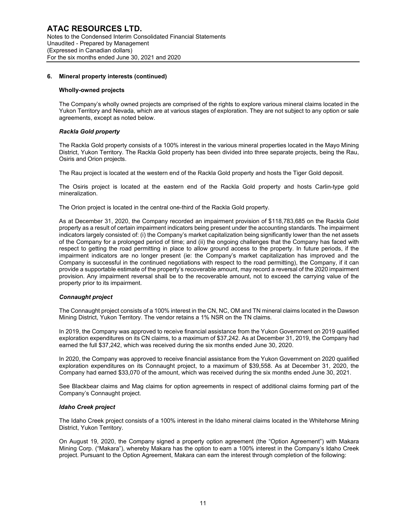#### **Wholly-owned projects**

The Company's wholly owned projects are comprised of the rights to explore various mineral claims located in the Yukon Territory and Nevada, which are at various stages of exploration. They are not subject to any option or sale agreements, except as noted below.

#### *Rackla Gold property*

The Rackla Gold property consists of a 100% interest in the various mineral properties located in the Mayo Mining District, Yukon Territory. The Rackla Gold property has been divided into three separate projects, being the Rau, Osiris and Orion projects.

The Rau project is located at the western end of the Rackla Gold property and hosts the Tiger Gold deposit.

The Osiris project is located at the eastern end of the Rackla Gold property and hosts Carlin-type gold mineralization.

The Orion project is located in the central one-third of the Rackla Gold property.

As at December 31, 2020, the Company recorded an impairment provision of \$118,783,685 on the Rackla Gold property as a result of certain impairment indicators being present under the accounting standards. The impairment indicators largely consisted of: (i) the Company's market capitalization being significantly lower than the net assets of the Company for a prolonged period of time; and (ii) the ongoing challenges that the Company has faced with respect to getting the road permitting in place to allow ground access to the property. In future periods, if the impairment indicators are no longer present (ie: the Company's market capitalization has improved and the Company is successful in the continued negotiations with respect to the road permitting), the Company, if it can provide a supportable estimate of the property's recoverable amount, may record a reversal of the 2020 impairment provision. Any impairment reversal shall be to the recoverable amount, not to exceed the carrying value of the property prior to its impairment.

#### *Connaught project*

The Connaught project consists of a 100% interest in the CN, NC, OM and TN mineral claims located in the Dawson Mining District, Yukon Territory. The vendor retains a 1% NSR on the TN claims.

In 2019, the Company was approved to receive financial assistance from the Yukon Government on 2019 qualified exploration expenditures on its CN claims, to a maximum of \$37,242. As at December 31, 2019, the Company had earned the full \$37,242, which was received during the six months ended June 30, 2020.

In 2020, the Company was approved to receive financial assistance from the Yukon Government on 2020 qualified exploration expenditures on its Connaught project, to a maximum of \$39,558. As at December 31, 2020, the Company had earned \$33,070 of the amount, which was received during the six months ended June 30, 2021.

See Blackbear claims and Mag claims for option agreements in respect of additional claims forming part of the Company's Connaught project.

#### *Idaho Creek project*

The Idaho Creek project consists of a 100% interest in the Idaho mineral claims located in the Whitehorse Mining District, Yukon Territory.

On August 19, 2020, the Company signed a property option agreement (the "Option Agreement") with Makara Mining Corp. ("Makara"), whereby Makara has the option to earn a 100% interest in the Company's Idaho Creek project. Pursuant to the Option Agreement, Makara can earn the interest through completion of the following: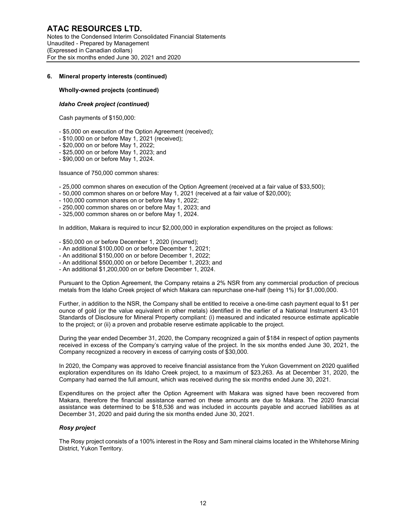#### **Wholly-owned projects (continued)**

#### *Idaho Creek project (continued)*

Cash payments of \$150,000:

- \$5,000 on execution of the Option Agreement (received);
- \$10,000 on or before May 1, 2021 (received);
- \$20,000 on or before May 1, 2022;
- \$25,000 on or before May 1, 2023; and
- \$90,000 on or before May 1, 2024.

Issuance of 750,000 common shares:

- 25,000 common shares on execution of the Option Agreement (received at a fair value of \$33,500);
- 50,000 common shares on or before May 1, 2021 (received at a fair value of \$20,000);
- 100,000 common shares on or before May 1, 2022;
- 250,000 common shares on or before May 1, 2023; and
- 325,000 common shares on or before May 1, 2024.

In addition, Makara is required to incur \$2,000,000 in exploration expenditures on the project as follows:

- \$50,000 on or before December 1, 2020 (incurred);
- An additional \$100,000 on or before December 1, 2021;
- An additional \$150,000 on or before December 1, 2022;
- An additional \$500,000 on or before December 1, 2023; and
- An additional \$1,200,000 on or before December 1, 2024.

Pursuant to the Option Agreement, the Company retains a 2% NSR from any commercial production of precious metals from the Idaho Creek project of which Makara can repurchase one-half (being 1%) for \$1,000,000.

Further, in addition to the NSR, the Company shall be entitled to receive a one-time cash payment equal to \$1 per ounce of gold (or the value equivalent in other metals) identified in the earlier of a National Instrument 43-101 Standards of Disclosure for Mineral Property compliant: (i) measured and indicated resource estimate applicable to the project; or (ii) a proven and probable reserve estimate applicable to the project.

During the year ended December 31, 2020, the Company recognized a gain of \$184 in respect of option payments received in excess of the Company's carrying value of the project. In the six months ended June 30, 2021, the Company recognized a recovery in excess of carrying costs of \$30,000.

In 2020, the Company was approved to receive financial assistance from the Yukon Government on 2020 qualified exploration expenditures on its Idaho Creek project, to a maximum of \$23,263. As at December 31, 2020, the Company had earned the full amount, which was received during the six months ended June 30, 2021.

Expenditures on the project after the Option Agreement with Makara was signed have been recovered from Makara, therefore the financial assistance earned on these amounts are due to Makara. The 2020 financial assistance was determined to be \$18,536 and was included in accounts payable and accrued liabilities as at December 31, 2020 and paid during the six months ended June 30, 2021.

#### *Rosy project*

The Rosy project consists of a 100% interest in the Rosy and Sam mineral claims located in the Whitehorse Mining District, Yukon Territory.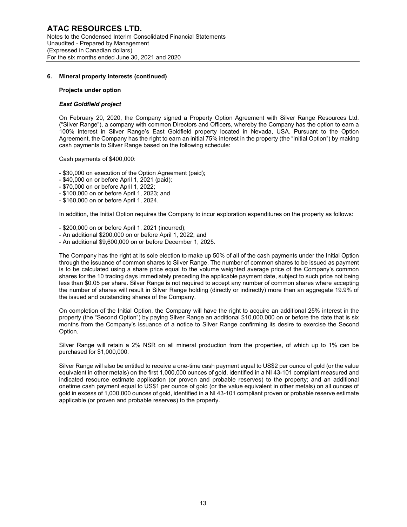#### **Projects under option**

#### *East Goldfield project*

On February 20, 2020, the Company signed a Property Option Agreement with Silver Range Resources Ltd. ("Silver Range"), a company with common Directors and Officers, whereby the Company has the option to earn a 100% interest in Silver Range's East Goldfield property located in Nevada, USA. Pursuant to the Option Agreement, the Company has the right to earn an initial 75% interest in the property (the "Initial Option") by making cash payments to Silver Range based on the following schedule:

Cash payments of \$400,000:

- \$30,000 on execution of the Option Agreement (paid);

- \$40,000 on or before April 1, 2021 (paid);
- \$70,000 on or before April 1, 2022;
- \$100,000 on or before April 1, 2023; and
- \$160,000 on or before April 1, 2024.

In addition, the Initial Option requires the Company to incur exploration expenditures on the property as follows:

- \$200,000 on or before April 1, 2021 (incurred);
- An additional \$200,000 on or before April 1, 2022; and
- An additional \$9,600,000 on or before December 1, 2025.

The Company has the right at its sole election to make up 50% of all of the cash payments under the Initial Option through the issuance of common shares to Silver Range. The number of common shares to be issued as payment is to be calculated using a share price equal to the volume weighted average price of the Company's common shares for the 10 trading days immediately preceding the applicable payment date, subject to such price not being less than \$0.05 per share. Silver Range is not required to accept any number of common shares where accepting the number of shares will result in Silver Range holding (directly or indirectly) more than an aggregate 19.9% of the issued and outstanding shares of the Company.

On completion of the Initial Option, the Company will have the right to acquire an additional 25% interest in the property (the "Second Option") by paying Silver Range an additional \$10,000,000 on or before the date that is six months from the Company's issuance of a notice to Silver Range confirming its desire to exercise the Second Option.

Silver Range will retain a 2% NSR on all mineral production from the properties, of which up to 1% can be purchased for \$1,000,000.

Silver Range will also be entitled to receive a one-time cash payment equal to US\$2 per ounce of gold (or the value equivalent in other metals) on the first 1,000,000 ounces of gold, identified in a NI 43-101 compliant measured and indicated resource estimate application (or proven and probable reserves) to the property; and an additional onetime cash payment equal to US\$1 per ounce of gold (or the value equivalent in other metals) on all ounces of gold in excess of 1,000,000 ounces of gold, identified in a NI 43-101 compliant proven or probable reserve estimate applicable (or proven and probable reserves) to the property.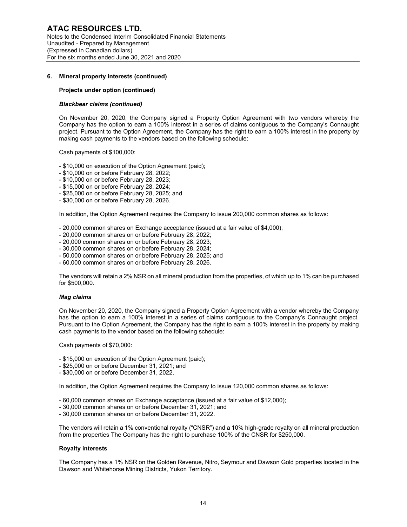#### **Projects under option (continued)**

#### *Blackbear claims (continued)*

On November 20, 2020, the Company signed a Property Option Agreement with two vendors whereby the Company has the option to earn a 100% interest in a series of claims contiguous to the Company's Connaught project. Pursuant to the Option Agreement, the Company has the right to earn a 100% interest in the property by making cash payments to the vendors based on the following schedule:

Cash payments of \$100,000:

- \$10,000 on execution of the Option Agreement (paid);

- \$10,000 on or before February 28, 2022;
- \$10,000 on or before February 28, 2023;
- \$15,000 on or before February 28, 2024;
- \$25,000 on or before February 28, 2025; and
- \$30,000 on or before February 28, 2026.

In addition, the Option Agreement requires the Company to issue 200,000 common shares as follows:

- 20,000 common shares on Exchange acceptance (issued at a fair value of \$4,000);

- 20,000 common shares on or before February 28, 2022;
- 20,000 common shares on or before February 28, 2023;
- 30,000 common shares on or before February 28, 2024;
- 50,000 common shares on or before February 28, 2025; and
- 60,000 common shares on or before February 28, 2026.

The vendors will retain a 2% NSR on all mineral production from the properties, of which up to 1% can be purchased for \$500,000.

#### *Mag claims*

On November 20, 2020, the Company signed a Property Option Agreement with a vendor whereby the Company has the option to earn a 100% interest in a series of claims contiguous to the Company's Connaught project. Pursuant to the Option Agreement, the Company has the right to earn a 100% interest in the property by making cash payments to the vendor based on the following schedule:

Cash payments of \$70,000:

- \$15,000 on execution of the Option Agreement (paid);
- \$25,000 on or before December 31, 2021; and
- \$30,000 on or before December 31, 2022.

In addition, the Option Agreement requires the Company to issue 120,000 common shares as follows:

- 60,000 common shares on Exchange acceptance (issued at a fair value of \$12,000);
- 30,000 common shares on or before December 31, 2021; and
- 30,000 common shares on or before December 31, 2022.

The vendors will retain a 1% conventional royalty ("CNSR") and a 10% high-grade royalty on all mineral production from the properties The Company has the right to purchase 100% of the CNSR for \$250,000.

#### **Royalty interests**

The Company has a 1% NSR on the Golden Revenue, Nitro, Seymour and Dawson Gold properties located in the Dawson and Whitehorse Mining Districts, Yukon Territory.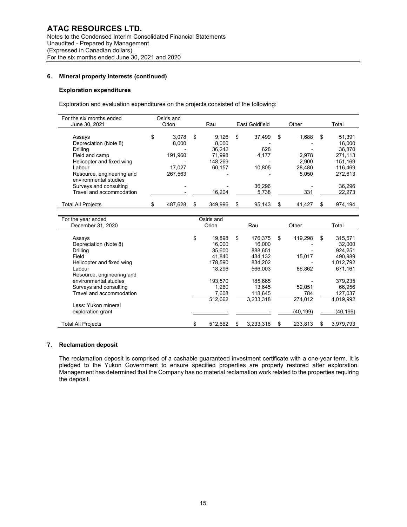#### **Exploration expenditures**

Exploration and evaluation expenditures on the projects consisted of the following:

| For the six months ended  | Osiris and  |    |         |    |                |    |        |    |         |
|---------------------------|-------------|----|---------|----|----------------|----|--------|----|---------|
| June 30, 2021             | Orion       |    | Rau     |    | East Goldfield |    | Other  |    | Total   |
|                           |             |    |         |    |                |    |        |    |         |
| Assays                    | \$<br>3.078 | \$ | 9.126   | \$ | 37.499         | \$ | 1,688  | \$ | 51,391  |
| Depreciation (Note 8)     | 8.000       |    | 8.000   |    |                |    |        |    | 16.000  |
| Drilling                  |             |    | 36.242  |    | 628            |    |        |    | 36.870  |
| Field and camp            | 191.960     |    | 71.998  |    | 4.177          |    | 2.978  |    | 271.113 |
| Helicopter and fixed wing |             |    | 148.269 |    |                |    | 2.900  |    | 151.169 |
| Labour                    | 17.027      |    | 60.157  |    | 10.805         |    | 28.480 |    | 116.469 |
| Resource, engineering and | 267.563     |    |         |    |                |    | 5.050  |    | 272.613 |
| environmental studies     |             |    |         |    |                |    |        |    |         |
| Surveys and consulting    |             |    |         |    | 36,296         |    |        |    | 36,296  |
| Travel and accommodation  |             |    | 16,204  |    | 5,738          |    | 331    |    | 22,273  |
|                           |             |    |         |    |                |    |        |    |         |
| <b>Total All Projects</b> | 487,628     | \$ | 349.996 | \$ | 95,143         |    | 41,427 | S  | 974,194 |
|                           |             |    |         |    |                |    |        |    |         |

| For the year ended        | Osiris and    |    |           |               |    |           |
|---------------------------|---------------|----|-----------|---------------|----|-----------|
| December 31, 2020         | Orion         |    | Rau       | Other         |    | Total     |
|                           |               |    |           |               |    |           |
| Assays                    | \$<br>19.898  | \$ | 176.375   | \$<br>119.298 | \$ | 315,571   |
| Depreciation (Note 8)     | 16.000        |    | 16.000    |               |    | 32,000    |
| <b>Drilling</b>           | 35,600        |    | 888,651   |               |    | 924,251   |
| Field                     | 41.840        |    | 434,132   | 15,017        |    | 490.989   |
| Helicopter and fixed wing | 178.590       |    | 834,202   |               |    | 1,012,792 |
| Labour                    | 18.296        |    | 566.003   | 86,862        |    | 671.161   |
| Resource, engineering and |               |    |           |               |    |           |
| environmental studies     | 193,570       |    | 185,665   |               |    | 379,235   |
| Surveys and consulting    | 1,260         |    | 13.645    | 52,051        |    | 66,956    |
| Travel and accommodation  | 7,608         |    | 118,645   | 784           |    | 127,037   |
|                           | 512.662       |    | 3,233,318 | 274.012       |    | 4.019.992 |
| Less: Yukon mineral       |               |    |           |               |    |           |
| exploration grant         |               |    |           | (40,199)      |    | (40, 199) |
| <b>Total All Projects</b> | \$<br>512,662 | S  | 3,233,318 | 233,813       | S  | 3,979,793 |

#### **7. Reclamation deposit**

The reclamation deposit is comprised of a cashable guaranteed investment certificate with a one-year term. It is pledged to the Yukon Government to ensure specified properties are properly restored after exploration. Management has determined that the Company has no material reclamation work related to the properties requiring the deposit.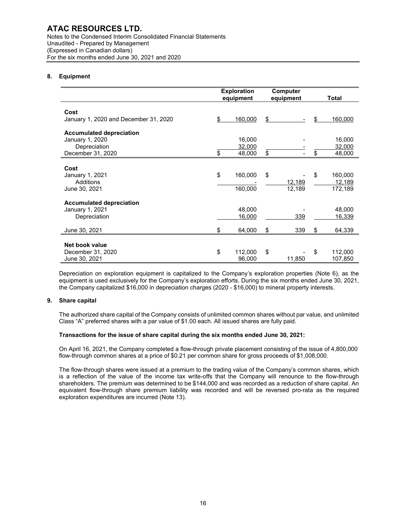(Expressed in Canadian dollars) For the six months ended June 30, 2021 and 2020

# **8. Equipment**

|                                       | <b>Exploration</b> |           | <b>Computer</b> |     |              |
|---------------------------------------|--------------------|-----------|-----------------|-----|--------------|
|                                       |                    | equipment | equipment       |     | <b>Total</b> |
|                                       |                    |           |                 |     |              |
| Cost                                  |                    |           |                 |     |              |
| January 1, 2020 and December 31, 2020 | \$.                | 160,000   | \$              | \$. | 160,000      |
| <b>Accumulated depreciation</b>       |                    |           |                 |     |              |
| January 1, 2020                       |                    | 16,000    |                 |     | 16,000       |
| Depreciation                          |                    | 32,000    |                 |     | 32,000       |
| December 31, 2020                     | \$                 | 48,000    | \$              | \$  | 48,000       |
|                                       |                    |           |                 |     |              |
| Cost                                  |                    |           |                 |     |              |
| January 1, 2021                       | \$                 | 160,000   | \$              | \$  | 160,000      |
| Additions                             |                    |           | 12,189          |     | 12,189       |
| June 30, 2021                         |                    | 160,000   | 12,189          |     | 172,189      |
| <b>Accumulated depreciation</b>       |                    |           |                 |     |              |
| January 1, 2021                       |                    | 48,000    |                 |     | 48,000       |
| Depreciation                          |                    | 16,000    | 339             |     | 16,339       |
|                                       |                    |           |                 |     |              |
| June 30, 2021                         | \$                 | 64,000    | \$<br>339       | \$  | 64,339       |
|                                       |                    |           |                 |     |              |
| Net book value                        |                    |           |                 |     |              |
| December 31, 2020                     | \$                 | 112,000   | \$              | \$  | 112,000      |
| June 30, 2021                         |                    | 96,000    | 11,850          |     | 107,850      |

Depreciation on exploration equipment is capitalized to the Company's exploration properties (Note 6), as the equipment is used exclusively for the Company's exploration efforts. During the six months ended June 30, 2021, the Company capitalized \$16,000 in depreciation charges (2020 - \$16,000) to mineral property interests.

#### **9. Share capital**

The authorized share capital of the Company consists of unlimited common shares without par value, and unlimited Class "A" preferred shares with a par value of \$1.00 each. All issued shares are fully paid.

#### **Transactions for the issue of share capital during the six months ended June 30, 2021:**

On April 16, 2021, the Company completed a flow-through private placement consisting of the issue of 4,800,000 flow-through common shares at a price of \$0.21 per common share for gross proceeds of \$1,008,000.

The flow-through shares were issued at a premium to the trading value of the Company's common shares, which is a reflection of the value of the income tax write-offs that the Company will renounce to the flow-through shareholders. The premium was determined to be \$144,000 and was recorded as a reduction of share capital. An equivalent flow-through share premium liability was recorded and will be reversed pro-rata as the required exploration expenditures are incurred (Note 13).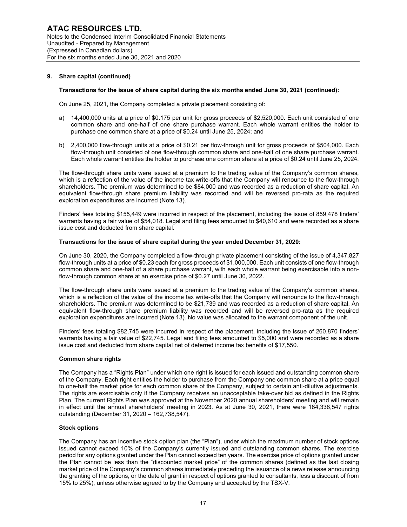#### **9. Share capital (continued)**

#### **Transactions for the issue of share capital during the six months ended June 30, 2021 (continued):**

On June 25, 2021, the Company completed a private placement consisting of:

- a) 14,400,000 units at a price of \$0.175 per unit for gross proceeds of \$2,520,000. Each unit consisted of one common share and one-half of one share purchase warrant. Each whole warrant entitles the holder to purchase one common share at a price of \$0.24 until June 25, 2024; and
- b) 2,400,000 flow-through units at a price of \$0.21 per flow-through unit for gross proceeds of \$504,000. Each flow-through unit consisted of one flow-through common share and one-half of one share purchase warrant. Each whole warrant entitles the holder to purchase one common share at a price of \$0.24 until June 25, 2024.

The flow-through share units were issued at a premium to the trading value of the Company's common shares, which is a reflection of the value of the income tax write-offs that the Company will renounce to the flow-through shareholders. The premium was determined to be \$84,000 and was recorded as a reduction of share capital. An equivalent flow-through share premium liability was recorded and will be reversed pro-rata as the required exploration expenditures are incurred (Note 13).

Finders' fees totaling \$155,449 were incurred in respect of the placement, including the issue of 859,478 finders' warrants having a fair value of \$54,018. Legal and filing fees amounted to \$40,610 and were recorded as a share issue cost and deducted from share capital.

#### **Transactions for the issue of share capital during the year ended December 31, 2020:**

On June 30, 2020, the Company completed a flow-through private placement consisting of the issue of 4,347,827 flow-through units at a price of \$0.23 each for gross proceeds of \$1,000,000. Each unit consists of one flow-through common share and one-half of a share purchase warrant, with each whole warrant being exercisable into a nonflow-through common share at an exercise price of \$0.27 until June 30, 2022.

The flow-through share units were issued at a premium to the trading value of the Company's common shares, which is a reflection of the value of the income tax write-offs that the Company will renounce to the flow-through shareholders. The premium was determined to be \$21,739 and was recorded as a reduction of share capital. An equivalent flow-through share premium liability was recorded and will be reversed pro-rata as the required exploration expenditures are incurred (Note 13). No value was allocated to the warrant component of the unit.

Finders' fees totaling \$82,745 were incurred in respect of the placement, including the issue of 260,870 finders' warrants having a fair value of \$22,745. Legal and filing fees amounted to \$5,000 and were recorded as a share issue cost and deducted from share capital net of deferred income tax benefits of \$17,550.

#### **Common share rights**

The Company has a "Rights Plan" under which one right is issued for each issued and outstanding common share of the Company. Each right entitles the holder to purchase from the Company one common share at a price equal to one-half the market price for each common share of the Company, subject to certain anti-dilutive adjustments. The rights are exercisable only if the Company receives an unacceptable take-over bid as defined in the Rights Plan. The current Rights Plan was approved at the November 2020 annual shareholders' meeting and will remain in effect until the annual shareholders' meeting in 2023. As at June 30, 2021, there were 184,338,547 rights outstanding (December 31, 2020 – 162,738,547).

#### **Stock options**

The Company has an incentive stock option plan (the "Plan"), under which the maximum number of stock options issued cannot exceed 10% of the Company's currently issued and outstanding common shares. The exercise period for any options granted under the Plan cannot exceed ten years. The exercise price of options granted under the Plan cannot be less than the "discounted market price" of the common shares (defined as the last closing market price of the Company's common shares immediately preceding the issuance of a news release announcing the granting of the options, or the date of grant in respect of options granted to consultants, less a discount of from 15% to 25%), unless otherwise agreed to by the Company and accepted by the TSX-V.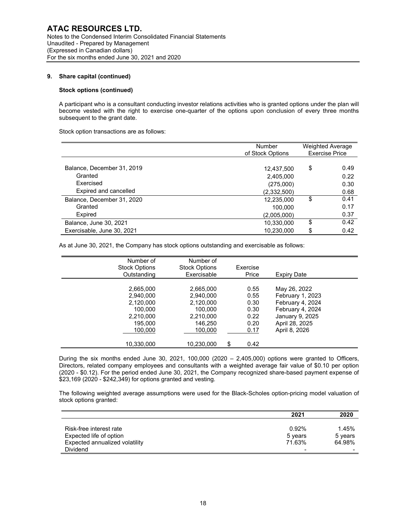#### **9. Share capital (continued)**

#### **Stock options (continued)**

A participant who is a consultant conducting investor relations activities who is granted options under the plan will become vested with the right to exercise one-quarter of the options upon conclusion of every three months subsequent to the grant date.

Stock option transactions are as follows:

|                            | Number<br>of Stock Options | <b>Weighted Average</b><br><b>Exercise Price</b> |
|----------------------------|----------------------------|--------------------------------------------------|
|                            |                            |                                                  |
| Balance, December 31, 2019 | 12,437,500                 | \$<br>0.49                                       |
| Granted                    | 2,405,000                  | 0.22                                             |
| Exercised                  | (275,000)                  | 0.30                                             |
| Expired and cancelled      | (2,332,500)                | 0.68                                             |
| Balance, December 31, 2020 | 12,235,000                 | \$<br>0.41                                       |
| Granted                    | 100.000                    | 0.17                                             |
| Expired                    | (2,005,000)                | 0.37                                             |
| Balance, June 30, 2021     | 10,330,000                 | \$<br>0.42                                       |
| Exercisable, June 30, 2021 | 10,230,000                 | \$<br>0.42                                       |

As at June 30, 2021, the Company has stock options outstanding and exercisable as follows:

| Number of<br><b>Stock Options</b><br>Outstanding                                                | Number of<br><b>Stock Options</b><br>Exercisable                                                | Exercise<br>Price                                                  | Expiry Date                                                                                                                    |  |
|-------------------------------------------------------------------------------------------------|-------------------------------------------------------------------------------------------------|--------------------------------------------------------------------|--------------------------------------------------------------------------------------------------------------------------------|--|
| 2,665,000<br>2.940.000<br>2,120,000<br>100.000<br>2,210,000<br>195.000<br>100.000<br>10,330,000 | 2,665,000<br>2.940.000<br>2,120,000<br>100.000<br>2,210,000<br>146,250<br>100,000<br>10,230,000 | 0.55<br>0.55<br>0.30<br>0.30<br>0.22<br>0.20<br>0.17<br>\$<br>0.42 | May 26, 2022<br>February 1, 2023<br>February 4, 2024<br>February 4, 2024<br>January 9, 2025<br>April 28, 2025<br>April 8, 2026 |  |

During the six months ended June 30, 2021, 100,000 (2020 – 2,405,000) options were granted to Officers, Directors, related company employees and consultants with a weighted average fair value of \$0.10 per option (2020 - \$0.12). For the period ended June 30, 2021, the Company recognized share-based payment expense of \$23,169 (2020 - \$242,349) for options granted and vesting.

The following weighted average assumptions were used for the Black-Scholes option-pricing model valuation of stock options granted:

|                                | 2021    | 2020    |
|--------------------------------|---------|---------|
|                                |         |         |
| Risk-free interest rate        | 0.92%   | 1.45%   |
| Expected life of option        | 5 years | 5 years |
| Expected annualized volatility | 71.63%  | 64.98%  |
| <b>Dividend</b>                |         |         |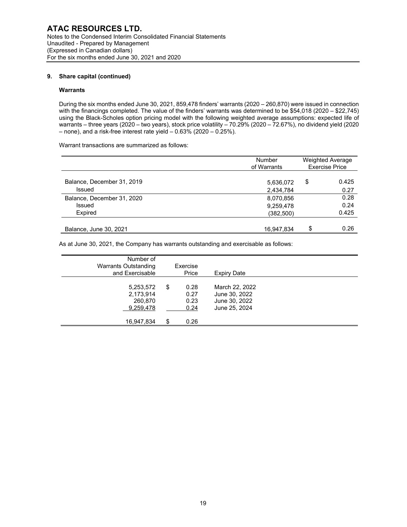#### **9. Share capital (continued)**

#### **Warrants**

During the six months ended June 30, 2021, 859,478 finders' warrants (2020 – 260,870) were issued in connection with the financings completed. The value of the finders' warrants was determined to be \$54,018 (2020 – \$22,745) using the Black-Scholes option pricing model with the following weighted average assumptions: expected life of warrants – three years (2020 – two years), stock price volatility – 70.29% (2020 – 72.67%), no dividend yield (2020 – none), and a risk-free interest rate yield –  $0.63\%$  (2020 –  $0.25\%$ ).

Warrant transactions are summarized as follows:

|                                      | <b>Number</b><br>of Warrants | <b>Weighted Average</b><br><b>Exercise Price</b> |
|--------------------------------------|------------------------------|--------------------------------------------------|
| Balance, December 31, 2019<br>Issued | 5,636,072<br>2,434,784       | \$<br>0.425<br>0.27                              |
| Balance, December 31, 2020           | 8,070,856                    | 0.28                                             |
| Issued<br>Expired                    | 9,259,478<br>(382,500)       | 0.24<br>0.425                                    |
| Balance, June 30, 2021               | 16,947,834                   | \$<br>0.26                                       |

As at June 30, 2021, the Company has warrants outstanding and exercisable as follows:

| Number of<br>Warrants Outstanding<br>and Exercisable |    | Exercise<br>Price            | Expiry Date                                                       |  |
|------------------------------------------------------|----|------------------------------|-------------------------------------------------------------------|--|
| 5,253,572<br>2,173,914<br>260,870<br>9,259,478       | \$ | 0.28<br>0.27<br>0.23<br>0.24 | March 22, 2022<br>June 30, 2022<br>June 30, 2022<br>June 25, 2024 |  |
| 16,947,834                                           | S  | 0.26                         |                                                                   |  |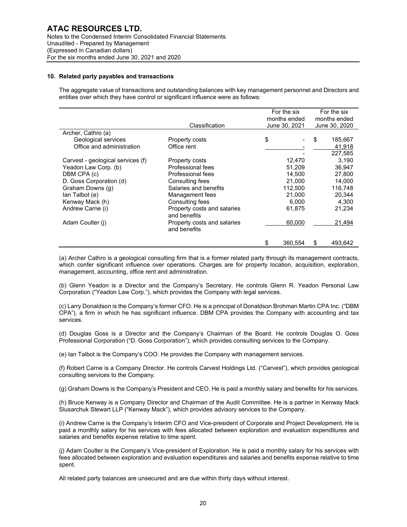#### **10. Related party payables and transactions**

The aggregate value of transactions and outstanding balances with key management personnel and Directors and entities over which they have control or significant influence were as follows:

|                                   | Classification                              | For the six<br>months ended<br>June 30, 2021 | For the six<br>months ended<br>June 30, 2020 |         |  |
|-----------------------------------|---------------------------------------------|----------------------------------------------|----------------------------------------------|---------|--|
| Archer, Cathro (a)                |                                             |                                              |                                              |         |  |
| Geological services               | Property costs                              | \$                                           | \$                                           | 185,667 |  |
| Office and administration         | Office rent                                 |                                              |                                              | 41,918  |  |
|                                   |                                             |                                              |                                              | 227,585 |  |
| Carvest - geological services (f) | Property costs                              | 12,470                                       |                                              | 3.190   |  |
| Yeadon Law Corp. (b)              | Professional fees                           | 51,209                                       |                                              | 36,947  |  |
| DBM CPA (c)                       | Professional fees                           | 14.500                                       |                                              | 27,800  |  |
| D. Goss Corporation (d)           | Consulting fees                             | 21,000                                       |                                              | 14,000  |  |
| Graham Downs (q)                  | Salaries and benefits                       | 112.500                                      |                                              | 116.748 |  |
| lan Talbot (e)                    | Management fees                             | 21,000                                       |                                              | 20,344  |  |
| Kenway Mack (h)                   | Consulting fees                             | 6.000                                        |                                              | 4,300   |  |
| Andrew Carne (i)                  | Property costs and salaries<br>and benefits | 61,875                                       |                                              | 21,234  |  |
| Adam Coulter (i)                  | Property costs and salaries<br>and benefits | 60,000                                       |                                              | 21,494  |  |
|                                   |                                             | \$<br>360.554                                | \$                                           | 493,642 |  |

(a) Archer Cathro is a geological consulting firm that is a former related party through its management contracts, which confer significant influence over operations. Charges are for property location, acquisition, exploration, management, accounting, office rent and administration.

(b) Glenn Yeadon is a Director and the Company's Secretary. He controls Glenn R. Yeadon Personal Law Corporation ("Yeadon Law Corp."), which provides the Company with legal services.

(c) Larry Donaldson is the Company's former CFO. He is a principal of Donaldson Brohman Martin CPA Inc. ("DBM CPA"), a firm in which he has significant influence. DBM CPA provides the Company with accounting and tax services.

(d) Douglas Goss is a Director and the Company's Chairman of the Board. He controls Douglas O. Goss Professional Corporation ("D. Goss Corporation"), which provides consulting services to the Company.

(e) Ian Talbot is the Company's COO. He provides the Company with management services.

(f) Robert Carne is a Company Director. He controls Carvest Holdings Ltd. ("Carvest"), which provides geological consulting services to the Company.

(g) Graham Downs is the Company's President and CEO. He is paid a monthly salary and benefits for his services.

(h) Bruce Kenway is a Company Director and Chairman of the Audit Committee. He is a partner in Kenway Mack Slusarchuk Stewart LLP ("Kenway Mack"), which provides advisory services to the Company.

(i) Andrew Carne is the Company's Interim CFO and Vice-president of Corporate and Project Development. He is paid a monthly salary for his services with fees allocated between exploration and evaluation expenditures and salaries and benefits expense relative to time spent.

(j) Adam Coulter is the Company's Vice-president of Exploration. He is paid a monthly salary for his services with fees allocated between exploration and evaluation expenditures and salaries and benefits expense relative to time spent.

All related party balances are unsecured and are due within thirty days without interest.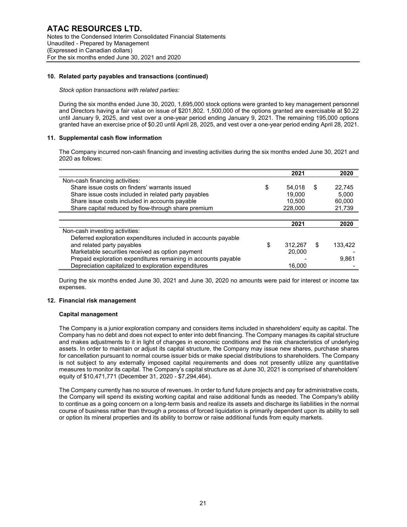#### **10. Related party payables and transactions (continued)**

#### *Stock option transactions with related parties:*

During the six months ended June 30, 2020, 1,695,000 stock options were granted to key management personnel and Directors having a fair value on issue of \$201,802. 1,500,000 of the options granted are exercisable at \$0.22 until January 9, 2025, and vest over a one-year period ending January 9, 2021. The remaining 195,000 options granted have an exercise price of \$0.20 until April 28, 2025, and vest over a one-year period ending April 28, 2021.

#### **11. Supplemental cash flow information**

The Company incurred non-cash financing and investing activities during the six months ended June 30, 2021 and 2020 as follows:

|                                                                | 2021          | 2020          |
|----------------------------------------------------------------|---------------|---------------|
| Non-cash financing activities:                                 |               |               |
| Share issue costs on finders' warrants issued                  | \$<br>54.018  | \$<br>22,745  |
| Share issue costs included in related party payables           | 19.000        | 5.000         |
| Share issue costs included in accounts payable                 | 10.500        | 60.000        |
| Share capital reduced by flow-through share premium            | 228,000       | 21,739        |
|                                                                |               |               |
|                                                                | 2021          | 2020          |
| Non-cash investing activities:                                 |               |               |
| Deferred exploration expenditures included in accounts payable |               |               |
| and related party payables                                     | \$<br>312.267 | \$<br>133.422 |
| Marketable securities received as option payment               | 20.000        |               |
| Prepaid exploration expenditures remaining in accounts payable |               | 9,861         |
| Depreciation capitalized to exploration expenditures           | 16.000        |               |

During the six months ended June 30, 2021 and June 30, 2020 no amounts were paid for interest or income tax expenses.

#### **12. Financial risk management**

#### **Capital management**

The Company is a junior exploration company and considers items included in shareholders' equity as capital. The Company has no debt and does not expect to enter into debt financing. The Company manages its capital structure and makes adjustments to it in light of changes in economic conditions and the risk characteristics of underlying assets. In order to maintain or adjust its capital structure, the Company may issue new shares, purchase shares for cancellation pursuant to normal course issuer bids or make special distributions to shareholders. The Company is not subject to any externally imposed capital requirements and does not presently utilize any quantitative measures to monitor its capital. The Company's capital structure as at June 30, 2021 is comprised of shareholders' equity of \$10,471,771 (December 31, 2020 - \$7,294,464).

The Company currently has no source of revenues. In order to fund future projects and pay for administrative costs, the Company will spend its existing working capital and raise additional funds as needed. The Company's ability to continue as a going concern on a long-term basis and realize its assets and discharge its liabilities in the normal course of business rather than through a process of forced liquidation is primarily dependent upon its ability to sell or option its mineral properties and its ability to borrow or raise additional funds from equity markets.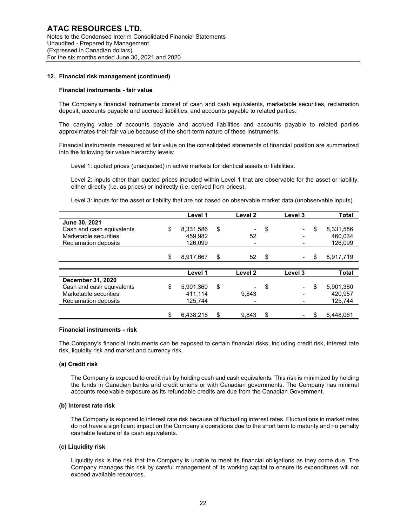#### **12. Financial risk management (continued)**

#### **Financial instruments - fair value**

The Company's financial instruments consist of cash and cash equivalents, marketable securities, reclamation deposit, accounts payable and accrued liabilities, and accounts payable to related parties.

The carrying value of accounts payable and accrued liabilities and accounts payable to related parties approximates their fair value because of the short-term nature of these instruments.

Financial instruments measured at fair value on the consolidated statements of financial position are summarized into the following fair value hierarchy levels:

Level 1: quoted prices (unadjusted) in active markets for identical assets or liabilities.

Level 2: inputs other than quoted prices included within Level 1 that are observable for the asset or liability, either directly (i.e. as prices) or indirectly (i.e. derived from prices).

Level 3: inputs for the asset or liability that are not based on observable market data (unobservable inputs).

|                             | Level 1         | Level 2            | Level 3 | Total           |
|-----------------------------|-----------------|--------------------|---------|-----------------|
| June 30, 2021               |                 |                    |         |                 |
| Cash and cash equivalents   | \$<br>8.331.586 | \$                 | \$      | \$<br>8,331,586 |
| Marketable securities       | 459.982         | 52                 |         | 460.034         |
| <b>Reclamation deposits</b> | 126.099         |                    |         | 126,099         |
|                             |                 |                    |         |                 |
|                             | \$<br>8.917.667 | \$<br>52           | \$      | \$<br>8,917,719 |
|                             |                 |                    |         |                 |
|                             | Level 1         | Level <sub>2</sub> | Level 3 | <b>Total</b>    |
| December 31, 2020           |                 |                    |         |                 |
| Cash and cash equivalents   | \$<br>5.901.360 | \$                 | \$      | \$<br>5,901,360 |
| Marketable securities       | 411.114         | 9,843              |         | 420.957         |
| <b>Reclamation deposits</b> | 125,744         |                    |         | 125,744         |
|                             |                 |                    |         |                 |
|                             | 6.438.218       | \$<br>9.843        | \$      | 6.448.061       |

#### **Financial instruments - risk**

The Company's financial instruments can be exposed to certain financial risks, including credit risk, interest rate risk, liquidity risk and market and currency risk.

#### **(a) Credit risk**

The Company is exposed to credit risk by holding cash and cash equivalents. This risk is minimized by holding the funds in Canadian banks and credit unions or with Canadian governments. The Company has minimal accounts receivable exposure as its refundable credits are due from the Canadian Government.

#### **(b) Interest rate risk**

The Company is exposed to interest rate risk because of fluctuating interest rates. Fluctuations in market rates do not have a significant impact on the Company's operations due to the short term to maturity and no penalty cashable feature of its cash equivalents.

#### **(c) Liquidity risk**

Liquidity risk is the risk that the Company is unable to meet its financial obligations as they come due. The Company manages this risk by careful management of its working capital to ensure its expenditures will not exceed available resources.